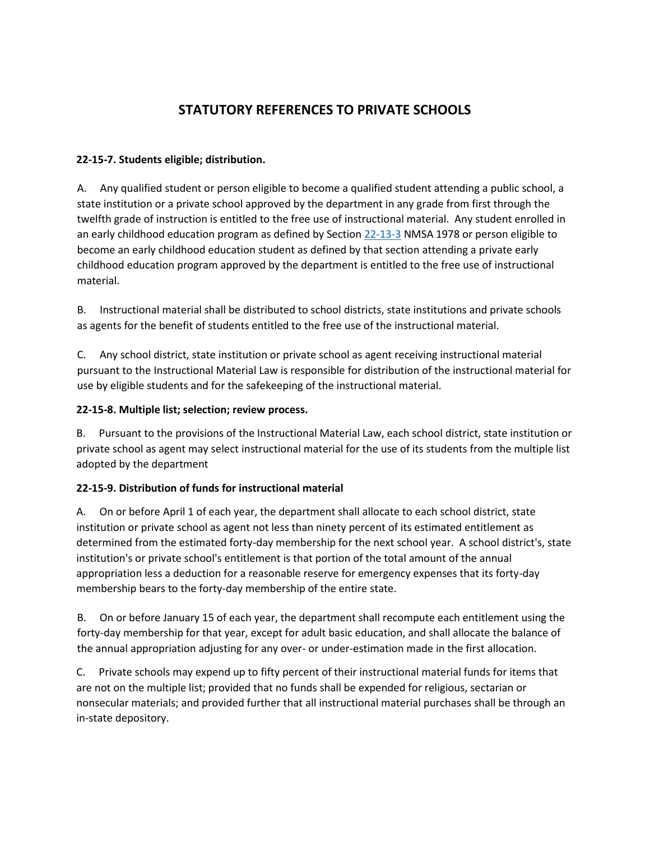# **STATUTORY REFERENCES TO PRIVATE SCHOOLS**

#### **22-15-7. Students eligible; distribution.**

A. Any qualified student or person eligible to become a qualified student attending a public school, a state institution or a private school approved by the department in any grade from first through the twelfth grade of instruction is entitled to the free use of instructional material. Any student enrolled in an early childhood education program as defined by Section [22-13-3](http://www.conwaygreene.com/nmsu/lpext.dll?f=FifLink&t=document-frame.htm&l=query&iid=2c766f64.3236e5fd.0.0&q=%5BGroup%20%2722-13-3%27%5D) NMSA 1978 or person eligible to become an early childhood education student as defined by that section attending a private early childhood education program approved by the department is entitled to the free use of instructional material.

B. Instructional material shall be distributed to school districts, state institutions and private schools as agents for the benefit of students entitled to the free use of the instructional material.

C. Any school district, state institution or private school as agent receiving instructional material pursuant to the Instructional Material Law is responsible for distribution of the instructional material for use by eligible students and for the safekeeping of the instructional material.

### **22-15-8. Multiple list; selection; review process.**

B. Pursuant to the provisions of the Instructional Material Law, each school district, state institution or private school as agent may select instructional material for the use of its students from the multiple list adopted by the department

#### **22-15-9. Distribution of funds for instructional material**

A. On or before April 1 of each year, the department shall allocate to each school district, state institution or private school as agent not less than ninety percent of its estimated entitlement as determined from the estimated forty-day membership for the next school year. A school district's, state institution's or private school's entitlement is that portion of the total amount of the annual appropriation less a deduction for a reasonable reserve for emergency expenses that its forty-day membership bears to the forty-day membership of the entire state.

B. On or before January 15 of each year, the department shall recompute each entitlement using the forty-day membership for that year, except for adult basic education, and shall allocate the balance of the annual appropriation adjusting for any over- or under-estimation made in the first allocation.

C. Private schools may expend up to fifty percent of their instructional material funds for items that are not on the multiple list; provided that no funds shall be expended for religious, sectarian or nonsecular materials; and provided further that all instructional material purchases shall be through an in-state depository.